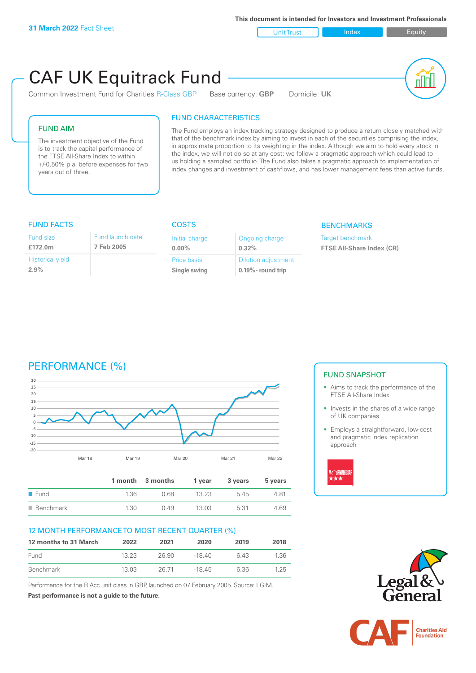| <b>Unit Trust</b> | Index |
|-------------------|-------|
|                   |       |

Equity

# $C\Delta F$

| <b>CAF UK Equitrack Fund</b><br>Common Investment Fund for Charities R-Class GBP<br>Base currency: <b>GBP</b> | Domicile: UK |
|---------------------------------------------------------------------------------------------------------------|--------------|
| <b>FUND CHARACTERISTICS</b>                                                                                   |              |

# FUND AIM

The investment objective of the Fund is to track the capital performance of the FTSE All-Share Index to within +/-0.50% p.a. before expenses for two years out of three.

# FUND CHARACTERISTICS

The Fund employs an index tracking strategy designed to produce a return closely matched with that of the benchmark index by aiming to invest in each of the securities comprising the index, in approximate proportion to its weighting in the index. Although we aim to hold every stock in the index, we will not do so at any cost; we follow a pragmatic approach which could lead to us holding a sampled portfolio. The Fund also takes a pragmatic approach to implementation of index changes and investment of cashflows, and has lower management fees than active funds.

# FUND FACTS COSTS

| Fund size                       | Fund launch date |
|---------------------------------|------------------|
| £172.0m                         | 7 Feb 2005       |
| <b>Historical yield</b><br>2.9% |                  |

| Initial charge<br>$0.00\%$ | Ongoing charge<br>0.32%    |
|----------------------------|----------------------------|
| Price basis                | <b>Dilution adjustment</b> |
| Single swing               | $0.19\%$ - round trip      |

### **BENCHMARKS**

Target benchmark **FTSE All-Share Index (CR)**

# PERFORMANCE (%)



|                     |      | 1 month 3 months | 1 vear | 3 years | 5 years |
|---------------------|------|------------------|--------|---------|---------|
| $\blacksquare$ Fund | 1.36 | 0.68             | 13.23  | 5.45    | 4.81    |
| ■ Benchmark         | 1.30 | 0.49             | 13.03  | 5.31    | 4.69    |

## 12 MONTH PERFORMANCE TO MOST RECENT QUARTER (%)

| 12 months to 31 March | 2022  | 2021  | 2020    | 2019 | 2018 |
|-----------------------|-------|-------|---------|------|------|
| Fund                  | 13 23 | 26.90 | -18 40  | 6.43 | 1.36 |
| Benchmark             | 13 03 | 26.71 | $-1845$ | 6.36 | 1.25 |

Performance for the R Acc unit class in GBP, launched on 07 February 2005. Source: LGIM. **Past performance is not a guide to the future.**

# FUND SNAPSHOT

- Aims to track the performance of the FTSE All-Share Index
- Invests in the shares of a wide range of UK companies
- Employs a straightforward, low-cost and pragmatic index replication approach





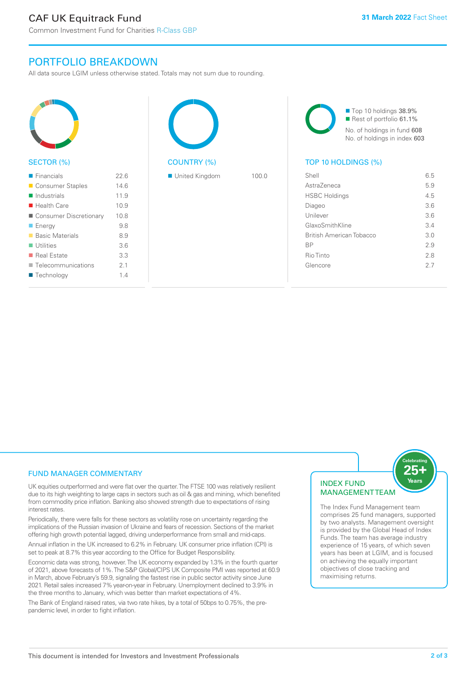PORTFOLIO BREAKDOWN

All data source LGIM unless otherwise stated. Totals may not sum due to rounding.

| ົ<br>$\overline{\phantom{a}}$ |
|-------------------------------|

### SECTOR (%)

| $\blacksquare$ Financials  | 22.6 |
|----------------------------|------|
| ■ Consumer Staples         | 14.6 |
| $\blacksquare$ Industrials | 11.9 |
| $\blacksquare$ Health Care | 10.9 |
| Consumer Discretionary     | 10.8 |
| $\blacksquare$ Energy      | 9.8  |
| ■ Basic Materials          | 8.9  |
| $\blacksquare$ Utilities   | 3.6  |
| ■ Real Estate              | 3.3  |
| Telecommunications         | 21   |
| ■ Technology               | 14   |
|                            |      |



■ United Kingdom 100.0

■ Top 10 holdings 38.9% Rest of portfolio 61.1% No. of holdings in fund 608 No. of holdings in index 603

# TOP 10 HOLDINGS (%)

| Shell                    | 6.5 |
|--------------------------|-----|
| Astra7eneca              | 5.9 |
| <b>HSBC Holdings</b>     | 4.5 |
| Diageo                   | 36  |
| Unilever                 | 3.6 |
| GlaxoSmithKline          | 34  |
| British American Tobacco | 3 O |
| <b>BP</b>                | 2.9 |
| Rio Tinto                | 2.8 |
| Glencore                 | 27  |
|                          |     |

# FUND MANAGER COMMENTARY

UK equities outperformed and were flat over the quarter. The FTSE 100 was relatively resilient due to its high weighting to large caps in sectors such as oil & gas and mining, which benefited from commodity price inflation. Banking also showed strength due to expectations of rising interest rates.

Periodically, there were falls for these sectors as volatility rose on uncertainty regarding the implications of the Russian invasion of Ukraine and fears of recession. Sections of the market offering high growth potential lagged, driving underperformance from small and mid-caps.

Annual inflation in the UK increased to 6.2% in February. UK consumer price inflation (CPI) is set to peak at 8.7% this year according to the Office for Budget Responsibility.

Economic data was strong, however. The UK economy expanded by 1.3% in the fourth quarter of 2021, above forecasts of 1%. The S&P Global/CIPS UK Composite PMI was reported at 60.9 in March, above February's 59.9, signaling the fastest rise in public sector activity since June 2021. Retail sales increased 7% year-on-year in February. Unemployment declined to 3.9% in the three months to January, which was better than market expectations of 4%.

The Bank of England raised rates, via two rate hikes, by a total of 50bps to 0.75%, the prepandemic level, in order to fight inflation.

# INDEX FUND MANAGEMENT TEAM



The Index Fund Management team comprises 25 fund managers, supported by two analysts. Management oversight is provided by the Global Head of Index Funds. The team has average industry experience of 15 years, of which seven years has been at LGIM, and is focused on achieving the equally important objectives of close tracking and maximising returns.